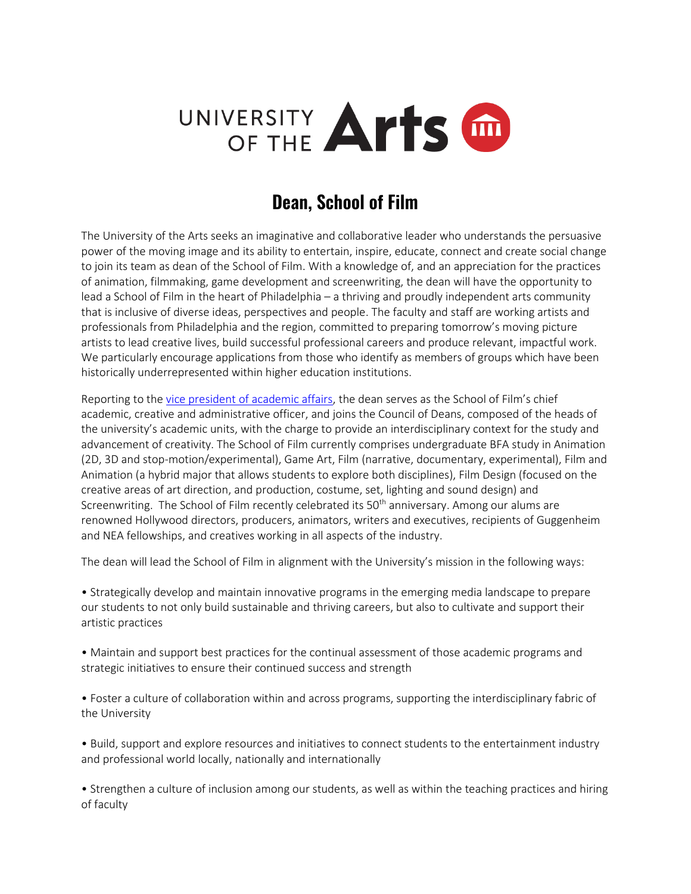

# **Dean, School of Film**

The University of the Arts seeks an imaginative and collaborative leader who understands the persuasive power of the moving image and its ability to entertain, inspire, educate, connect and create social change to join its team as dean of the School of Film. With a knowledge of, and an appreciation for the practices of animation, filmmaking, game development and screenwriting, the dean will have the opportunity to lead a School of Film in the heart of Philadelphia – a thriving and proudly independent arts community that is inclusive of diverse ideas, perspectives and people. The faculty and staff are working artists and professionals from Philadelphia and the region, committed to preparing tomorrow's moving picture artists to lead creative lives, build successful professional careers and produce relevant, impactful work. We particularly encourage applications from those who identify as members of groups which have been historically underrepresented within higher education institutions.

Reporting to the [vice president of academic affairs,](https://www.uarts.edu/node/43541) the dean serves as the School of Film's chief academic, creative and administrative officer, and joins the Council of Deans, composed of the heads of the university's academic units, with the charge to provide an interdisciplinary context for the study and advancement of creativity. The School of Film currently comprises undergraduate BFA study in Animation (2D, 3D and stop-motion/experimental), Game Art, Film (narrative, documentary, experimental), Film and Animation (a hybrid major that allows students to explore both disciplines), Film Design (focused on the creative areas of art direction, and production, costume, set, lighting and sound design) and Screenwriting. The School of Film recently celebrated its  $50<sup>th</sup>$  anniversary. Among our alums are renowned Hollywood directors, producers, animators, writers and executives, recipients of Guggenheim and NEA fellowships, and creatives working in all aspects of the industry.

The dean will lead the School of Film in alignment with the University's mission in the following ways:

• Strategically develop and maintain innovative programs in the emerging media landscape to prepare our students to not only build sustainable and thriving careers, but also to cultivate and support their artistic practices

• Maintain and support best practices for the continual assessment of those academic programs and strategic initiatives to ensure their continued success and strength

• Foster a culture of collaboration within and across programs, supporting the interdisciplinary fabric of the University

• Build, support and explore resources and initiatives to connect students to the entertainment industry and professional world locally, nationally and internationally

• Strengthen a culture of inclusion among our students, as well as within the teaching practices and hiring of faculty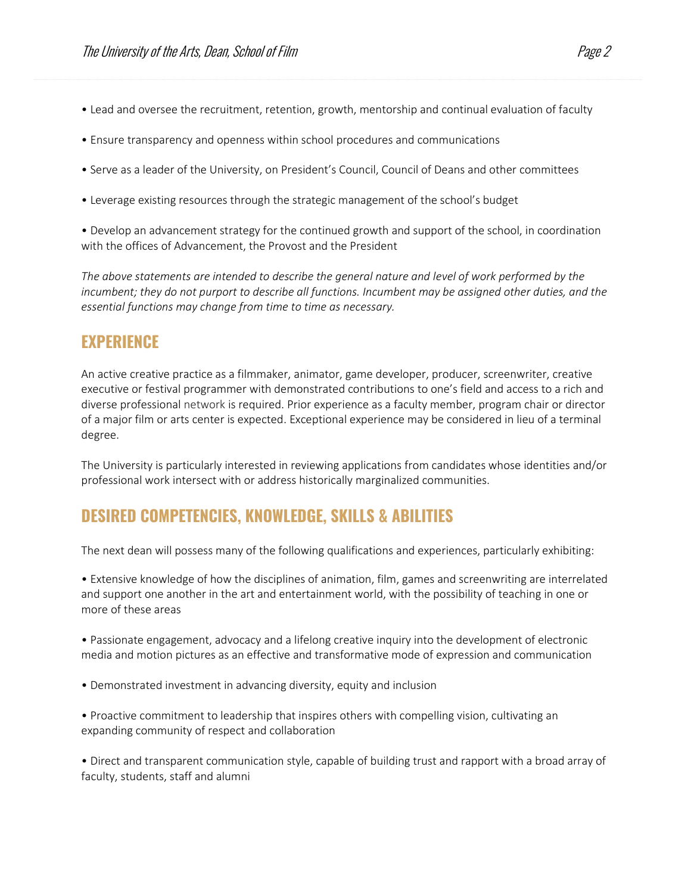- Lead and oversee the recruitment, retention, growth, mentorship and continual evaluation of faculty
- Ensure transparency and openness within school procedures and communications
- Serve as a leader of the University, on President's Council, Council of Deans and other committees
- Leverage existing resources through the strategic management of the school's budget

• Develop an advancement strategy for the continued growth and support of the school, in coordination with the offices of Advancement, the Provost and the President

*The above statements are intended to describe the general nature and level of work performed by the incumbent; they do not purport to describe all functions. Incumbent may be assigned other duties, and the essential functions may change from time to time as necessary.*

## **EXPERIENCE**

An active creative practice as a filmmaker, animator, game developer, producer, screenwriter, creative executive or festival programmer with demonstrated contributions to one's field and access to a rich and diverse professional network is required. Prior experience as a faculty member, program chair or director of a major film or arts center is expected. Exceptional experience may be considered in lieu of a terminal degree.

The University is particularly interested in reviewing applications from candidates whose identities and/or professional work intersect with or address historically marginalized communities.

# **DESIRED COMPETENCIES, KNOWLEDGE, SKILLS & ABILITIES**

The next dean will possess many of the following qualifications and experiences, particularly exhibiting:

• Extensive knowledge of how the disciplines of animation, film, games and screenwriting are interrelated and support one another in the art and entertainment world, with the possibility of teaching in one or more of these areas

• Passionate engagement, advocacy and a lifelong creative inquiry into the development of electronic media and motion pictures as an effective and transformative mode of expression and communication

- Demonstrated investment in advancing diversity, equity and inclusion
- Proactive commitment to leadership that inspires others with compelling vision, cultivating an expanding community of respect and collaboration

• Direct and transparent communication style, capable of building trust and rapport with a broad array of faculty, students, staff and alumni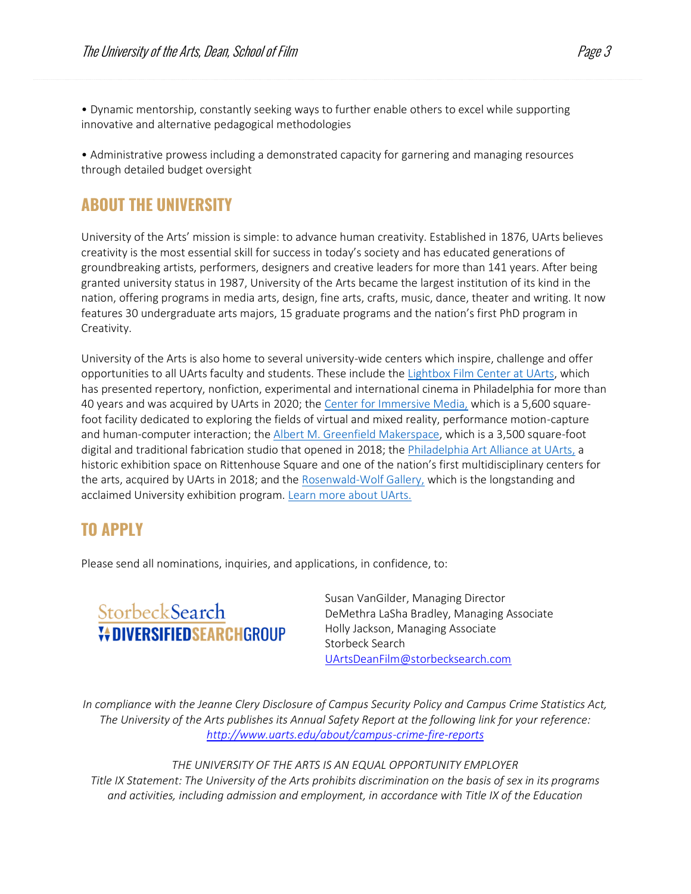• Dynamic mentorship, constantly seeking ways to further enable others to excel while supporting innovative and alternative pedagogical methodologies

• Administrative prowess including a demonstrated capacity for garnering and managing resources through detailed budget oversight

#### **ABOUT THE UNIVERSITY**

University of the Arts' mission is simple: to advance human creativity. Established in 1876, UArts believes creativity is the most essential skill for success in today's society and has educated generations of groundbreaking artists, performers, designers and creative leaders for more than 141 years. After being granted university status in 1987, University of the Arts became the largest institution of its kind in the nation, offering programs in media arts, design, fine arts, crafts, music, dance, theater and writing. It now features 30 undergraduate arts majors, 15 graduate programs and the nation's first PhD program in Creativity.

University of the Arts is also home to several university-wide centers which inspire, challenge and offer opportunities to all UArts faculty and students. These include the [Lightbox Film Center at UArts,](https://lightboxfilmcenter.org/who-we-are) which has presented repertory, nonfiction, experimental and international cinema in Philadelphia for more than 40 years and was acquired by UArts in 2020; the [Center for Immersive Media,](https://www.uarts.edu/centers/cim) which is a 5,600 squarefoot facility dedicated to exploring the fields of virtual and mixed reality, performance motion-capture and human-computer interaction; the [Albert M. Greenfield Makerspace,](https://www.uarts.edu/about/makerspace) which is a 3,500 square-foot digital and traditional fabrication studio that opened in 2018; the [Philadelphia Art Alliance at UArts,](https://www.uarts.edu/centers/artalliance) a historic exhibition space on Rittenhouse Square and one of the nation's first multidisciplinary centers for the arts, acquired by UArts in 2018; and the [Rosenwald-Wolf Gallery,](https://www.uarts.edu/centers/rosenwald-wolf-gallery) which is the longstanding and acclaimed University exhibition program. [Learn more about UArts.](https://www.uarts.edu/)

## **TO APPLY**

Please send all nominations, inquiries, and applications, in confidence, to:



Susan VanGilder, Managing Director DeMethra LaSha Bradley, Managing Associate Holly Jackson, Managing Associate Storbeck Search [UArtsDeanFilm@storbecksearch.com](mailto:UArtsDeanFilm@storbecksearch.com)

*In compliance with the Jeanne Clery Disclosure of Campus Security Policy and Campus Crime Statistics Act, The University of the Arts publishes its Annual Safety Report at the following link for your reference: <http://www.uarts.edu/about/campus-crime-fire-reports>*

*THE UNIVERSITY OF THE ARTS IS AN EQUAL OPPORTUNITY EMPLOYER Title IX Statement: The University of the Arts prohibits discrimination on the basis of sex in its programs and activities, including admission and employment, in accordance with Title IX of the Education*